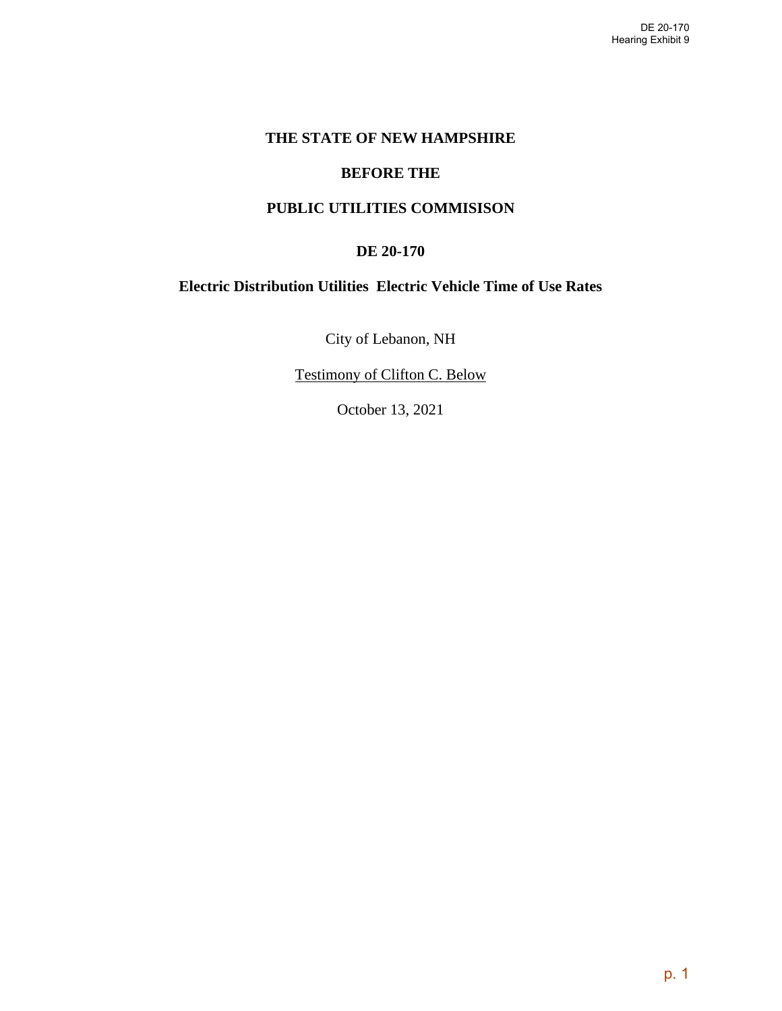## **THE STATE OF NEW HAMPSHIRE**

#### **BEFORE THE**

## **PUBLIC UTILITIES COMMISISON**

#### **DE 20-170**

## **Electric Distribution Utilities Electric Vehicle Time of Use Rates**

City of Lebanon, NH

Testimony of Clifton C. Below

October 13, 2021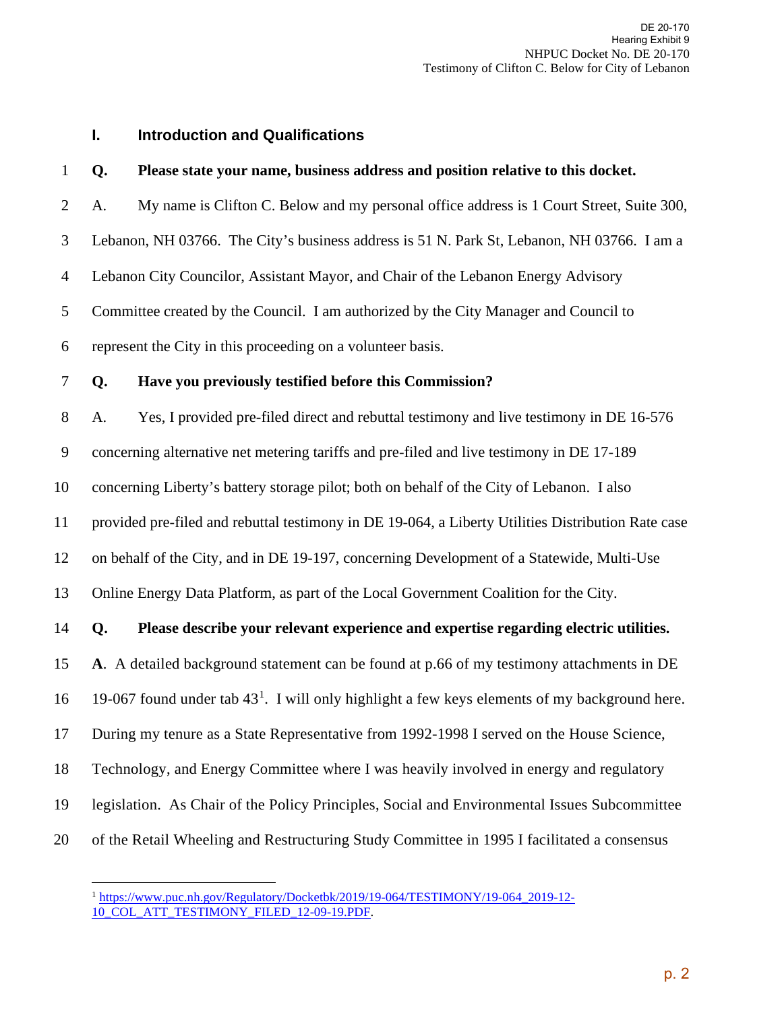## **I. Introduction and Qualifications**

#### 1 **Q. Please state your name, business address and position relative to this docket.**

2 A. My name is Clifton C. Below and my personal office address is 1 Court Street, Suite 300,

3 Lebanon, NH 03766. The City's business address is 51 N. Park St, Lebanon, NH 03766. I am a

4 Lebanon City Councilor, Assistant Mayor, and Chair of the Lebanon Energy Advisory

5 Committee created by the Council. I am authorized by the City Manager and Council to

6 represent the City in this proceeding on a volunteer basis.

#### 7 **Q. Have you previously testified before this Commission?**

8 A. Yes, I provided pre-filed direct and rebuttal testimony and live testimony in DE 16-576

9 concerning alternative net metering tariffs and pre-filed and live testimony in DE 17-189

10 concerning Liberty's battery storage pilot; both on behalf of the City of Lebanon. I also

11 provided pre-filed and rebuttal testimony in DE 19-064, a Liberty Utilities Distribution Rate case

12 on behalf of the City, and in DE 19-197, concerning Development of a Statewide, Multi-Use

13 Online Energy Data Platform, as part of the Local Government Coalition for the City.

## 14 **Q. Please describe your relevant experience and expertise regarding electric utilities.**

15 **A**. A detailed background statement can be found at p.66 of my testimony attachments in DE

[1](#page-1-0)6 19-067 found under tab  $43<sup>1</sup>$ . I will only highlight a few keys elements of my background here.

17 During my tenure as a State Representative from 1992-1998 I served on the House Science,

18 Technology, and Energy Committee where I was heavily involved in energy and regulatory

- 19 legislation. As Chair of the Policy Principles, Social and Environmental Issues Subcommittee
- <span id="page-1-0"></span>20 of the Retail Wheeling and Restructuring Study Committee in 1995 I facilitated a consensus

<sup>&</sup>lt;sup>1</sup> [https://www.puc.nh.gov/Regulatory/Docketbk/2019/19-064/TESTIMONY/19-064\\_2019-12-](https://www.puc.nh.gov/Regulatory/Docketbk/2019/19-064/TESTIMONY/19-064_2019-12-10_COL_ATT_TESTIMONY_FILED_12-09-19.PDF) [10\\_COL\\_ATT\\_TESTIMONY\\_FILED\\_12-09-19.PDF.](https://www.puc.nh.gov/Regulatory/Docketbk/2019/19-064/TESTIMONY/19-064_2019-12-10_COL_ATT_TESTIMONY_FILED_12-09-19.PDF)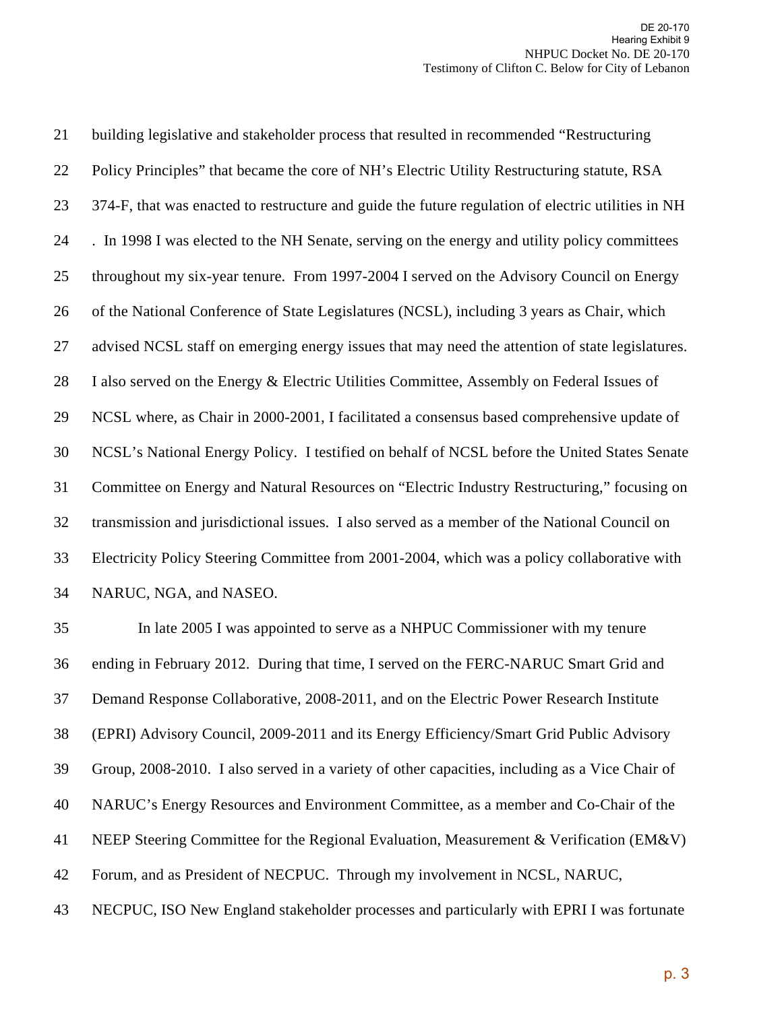21 building legislative and stakeholder process that resulted in recommended "Restructuring 22 Policy Principles" that became the core of NH's Electric Utility Restructuring statute, RSA 23 374-F, that was enacted to restructure and guide the future regulation of electric utilities in NH 24 . In 1998 I was elected to the NH Senate, serving on the energy and utility policy committees 25 throughout my six-year tenure. From 1997-2004 I served on the Advisory Council on Energy 26 of the National Conference of State Legislatures (NCSL), including 3 years as Chair, which 27 advised NCSL staff on emerging energy issues that may need the attention of state legislatures. 28 I also served on the Energy & Electric Utilities Committee, Assembly on Federal Issues of 29 NCSL where, as Chair in 2000-2001, I facilitated a consensus based comprehensive update of 30 NCSL's National Energy Policy. I testified on behalf of NCSL before the United States Senate 31 Committee on Energy and Natural Resources on "Electric Industry Restructuring," focusing on 32 transmission and jurisdictional issues. I also served as a member of the National Council on 33 Electricity Policy Steering Committee from 2001-2004, which was a policy collaborative with 34 NARUC, NGA, and NASEO.

35 In late 2005 I was appointed to serve as a NHPUC Commissioner with my tenure 36 ending in February 2012. During that time, I served on the FERC-NARUC Smart Grid and 37 Demand Response Collaborative, 2008-2011, and on the Electric Power Research Institute 38 (EPRI) Advisory Council, 2009-2011 and its Energy Efficiency/Smart Grid Public Advisory 39 Group, 2008-2010. I also served in a variety of other capacities, including as a Vice Chair of 40 NARUC's Energy Resources and Environment Committee, as a member and Co-Chair of the 41 NEEP Steering Committee for the Regional Evaluation, Measurement & Verification (EM&V) 42 Forum, and as President of NECPUC. Through my involvement in NCSL, NARUC, 43 NECPUC, ISO New England stakeholder processes and particularly with EPRI I was fortunate

p. 3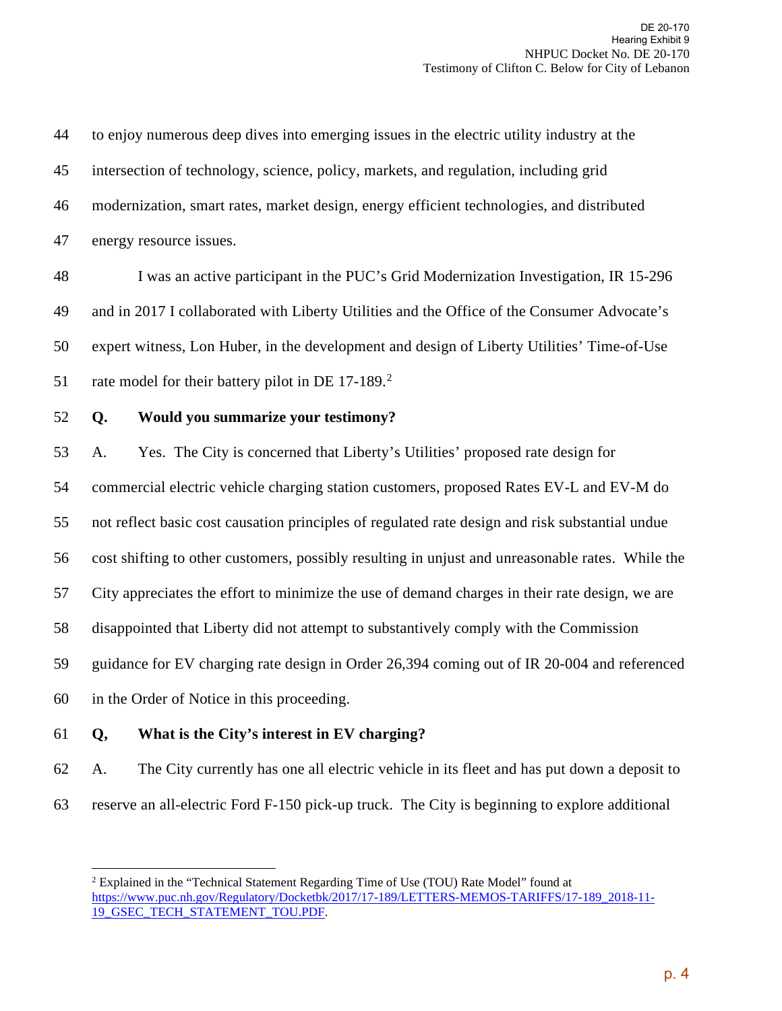44 to enjoy numerous deep dives into emerging issues in the electric utility industry at the 45 intersection of technology, science, policy, markets, and regulation, including grid 46 modernization, smart rates, market design, energy efficient technologies, and distributed 47 energy resource issues. 48 I was an active participant in the PUC's Grid Modernization Investigation, IR 15-296 49 and in 2017 I collaborated with Liberty Utilities and the Office of the Consumer Advocate's 50 expert witness, Lon Huber, in the development and design of Liberty Utilities' Time-of-Use 51 rate model for their battery pilot in DE  $17-189$ <sup>[2](#page-3-0)</sup> 52 **Q. Would you summarize your testimony?**  53 A. Yes. The City is concerned that Liberty's Utilities' proposed rate design for 54 commercial electric vehicle charging station customers, proposed Rates EV-L and EV-M do 55 not reflect basic cost causation principles of regulated rate design and risk substantial undue 56 cost shifting to other customers, possibly resulting in unjust and unreasonable rates. While the 57 City appreciates the effort to minimize the use of demand charges in their rate design, we are 58 disappointed that Liberty did not attempt to substantively comply with the Commission 59 guidance for EV charging rate design in Order 26,394 coming out of IR 20-004 and referenced 60 in the Order of Notice in this proceeding. 61 **Q, What is the City's interest in EV charging?** 

62 A. The City currently has one all electric vehicle in its fleet and has put down a deposit to 63 reserve an all-electric Ford F-150 pick-up truck. The City is beginning to explore additional

<span id="page-3-0"></span><sup>2</sup> Explained in the "Technical Statement Regarding Time of Use (TOU) Rate Model" found at [https://www.puc.nh.gov/Regulatory/Docketbk/2017/17-189/LETTERS-MEMOS-TARIFFS/17-189\\_2018-11-](https://www.puc.nh.gov/Regulatory/Docketbk/2017/17-189/LETTERS-MEMOS-TARIFFS/17-189_2018-11-19_GSEC_TECH_STATEMENT_TOU.PDF) [19\\_GSEC\\_TECH\\_STATEMENT\\_TOU.PDF.](https://www.puc.nh.gov/Regulatory/Docketbk/2017/17-189/LETTERS-MEMOS-TARIFFS/17-189_2018-11-19_GSEC_TECH_STATEMENT_TOU.PDF)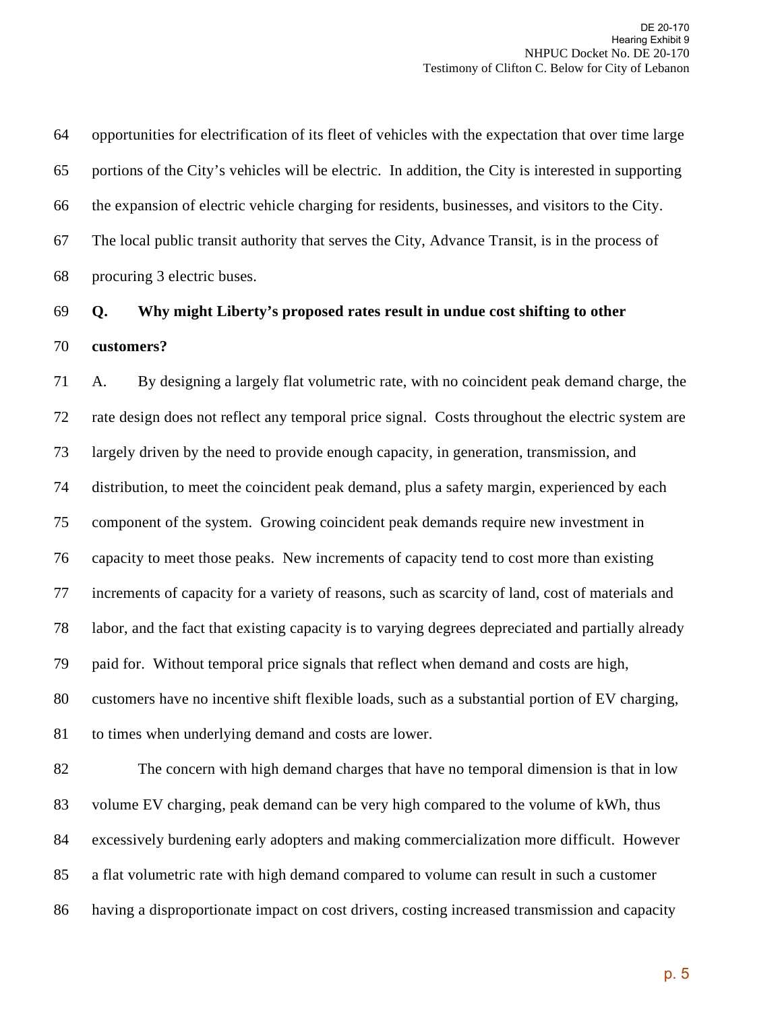64 opportunities for electrification of its fleet of vehicles with the expectation that over time large 65 portions of the City's vehicles will be electric. In addition, the City is interested in supporting 66 the expansion of electric vehicle charging for residents, businesses, and visitors to the City. 67 The local public transit authority that serves the City, Advance Transit, is in the process of 68 procuring 3 electric buses.

# 69 **Q. Why might Liberty's proposed rates result in undue cost shifting to other**  70 **customers?**

71 A. By designing a largely flat volumetric rate, with no coincident peak demand charge, the 72 rate design does not reflect any temporal price signal. Costs throughout the electric system are 73 largely driven by the need to provide enough capacity, in generation, transmission, and 74 distribution, to meet the coincident peak demand, plus a safety margin, experienced by each 75 component of the system. Growing coincident peak demands require new investment in 76 capacity to meet those peaks. New increments of capacity tend to cost more than existing 77 increments of capacity for a variety of reasons, such as scarcity of land, cost of materials and 78 labor, and the fact that existing capacity is to varying degrees depreciated and partially already 79 paid for. Without temporal price signals that reflect when demand and costs are high, 80 customers have no incentive shift flexible loads, such as a substantial portion of EV charging, 81 to times when underlying demand and costs are lower.

82 The concern with high demand charges that have no temporal dimension is that in low 83 volume EV charging, peak demand can be very high compared to the volume of kWh, thus 84 excessively burdening early adopters and making commercialization more difficult. However 85 a flat volumetric rate with high demand compared to volume can result in such a customer 86 having a disproportionate impact on cost drivers, costing increased transmission and capacity

p. 5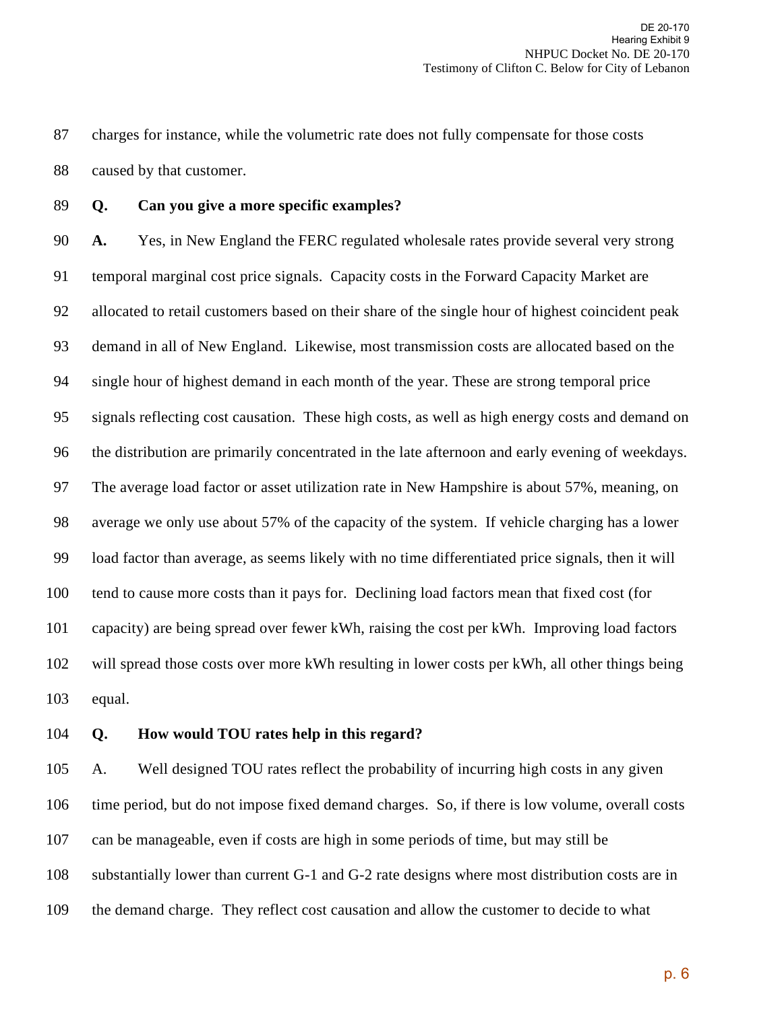87 charges for instance, while the volumetric rate does not fully compensate for those costs 88 caused by that customer.

89 **Q. Can you give a more specific examples?** 

90 **A.** Yes, in New England the FERC regulated wholesale rates provide several very strong 91 temporal marginal cost price signals. Capacity costs in the Forward Capacity Market are 92 allocated to retail customers based on their share of the single hour of highest coincident peak 93 demand in all of New England. Likewise, most transmission costs are allocated based on the 94 single hour of highest demand in each month of the year. These are strong temporal price 95 signals reflecting cost causation. These high costs, as well as high energy costs and demand on 96 the distribution are primarily concentrated in the late afternoon and early evening of weekdays. 97 The average load factor or asset utilization rate in New Hampshire is about 57%, meaning, on 98 average we only use about 57% of the capacity of the system. If vehicle charging has a lower 99 load factor than average, as seems likely with no time differentiated price signals, then it will 100 tend to cause more costs than it pays for. Declining load factors mean that fixed cost (for 101 capacity) are being spread over fewer kWh, raising the cost per kWh. Improving load factors 102 will spread those costs over more kWh resulting in lower costs per kWh, all other things being 103 equal.

#### 104 **Q. How would TOU rates help in this regard?**

105 A. Well designed TOU rates reflect the probability of incurring high costs in any given 106 time period, but do not impose fixed demand charges. So, if there is low volume, overall costs 107 can be manageable, even if costs are high in some periods of time, but may still be 108 substantially lower than current G-1 and G-2 rate designs where most distribution costs are in 109 the demand charge. They reflect cost causation and allow the customer to decide to what

p. 6